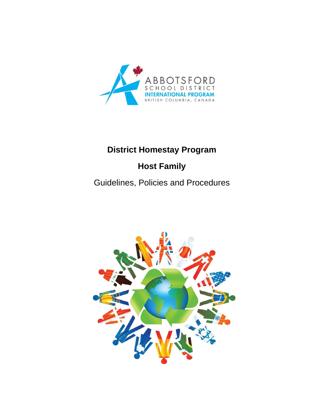

# **District Homestay Program**

# **Host Family**

Guidelines, Policies and Procedures

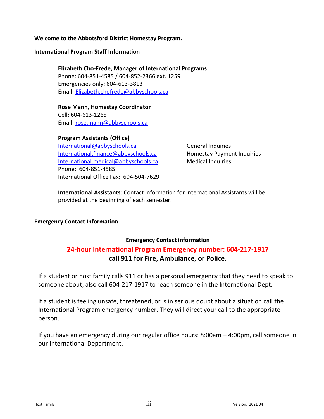# **Welcome to the Abbotsford District Homestay Program.**

#### <span id="page-2-0"></span>**International Program Staff Information**

**Elizabeth Cho-Frede, Manager of International Programs** Phone: 604-851-4585 / 604-852-2366 ext. 1259 Emergencies only: 604-613-3813 Email: [Elizabeth.chofrede@abbyschools.ca](mailto:Elizabeth.chofrede@abbyschools.ca)

# **Rose Mann, Homestay Coordinator** Cell: 604-613-1265 Email: [rose.mann@abbyschools.ca](mailto:rose.mann@abbyschools.ca)

#### **Program Assistants (Office)**

[International@abbyschools.ca](mailto:International@abbyschools.ca) General Inquiries [International.finance@abbyschools.ca](mailto:International.finance@abbyschools.ca) Homestay Payment Inquiries [International.medical@abbyschools.ca](mailto:International.medical@abbyschools.ca) Medical Inquiries Phone: 604-851-4585 International Office Fax: 604-504-7629

**International Assistants**: Contact information for International Assistants will be provided at the beginning of each semester.

#### <span id="page-2-1"></span>**Emergency Contact Information**

# **Emergency Contact information 24-hour International Program Emergency number: 604-217-1917 call 911 for Fire, Ambulance, or Police.**

If a student or host family calls 911 or has a personal emergency that they need to speak to someone about, also call 604-217-1917 to reach someone in the International Dept.

If a student is feeling unsafe, threatened, or is in serious doubt about a situation call the International Program emergency number. They will direct your call to the appropriate person.

If you have an emergency during our regular office hours: 8:00am – 4:00pm, call someone in our International Department.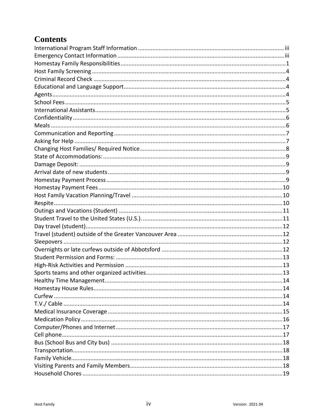# **Contents**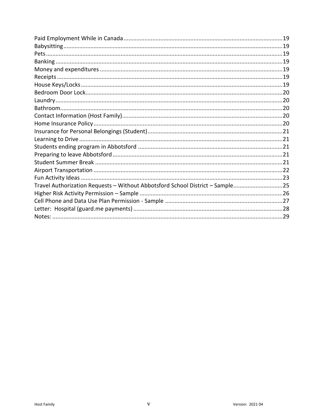| Travel Authorization Requests - Without Abbotsford School District - Sample25 |  |
|-------------------------------------------------------------------------------|--|
|                                                                               |  |
|                                                                               |  |
|                                                                               |  |
|                                                                               |  |
|                                                                               |  |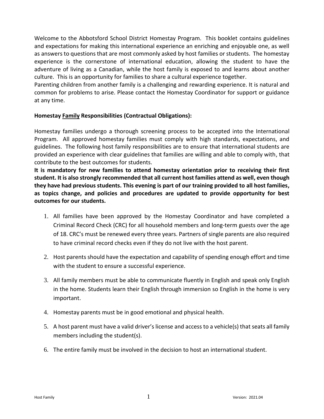Welcome to the Abbotsford School District Homestay Program. This booklet contains guidelines and expectations for making this international experience an enriching and enjoyable one, as well as answers to questions that are most commonly asked by host families or students. The homestay experience is the cornerstone of international education, allowing the student to have the adventure of living as a Canadian, while the host family is exposed to and learns about another culture. This is an opportunity for families to share a cultural experience together.

Parenting children from another family is a challenging and rewarding experience. It is natural and common for problems to arise. Please contact the Homestay Coordinator for support or guidance at any time.

# <span id="page-5-0"></span>**Homestay Family Responsibilities (Contractual Obligations):**

Homestay families undergo a thorough screening process to be accepted into the International Program. All approved homestay families must comply with high standards, expectations, and guidelines. The following host family responsibilities are to ensure that international students are provided an experience with clear guidelines that families are willing and able to comply with, that contribute to the best outcomes for students.

**It is mandatory for new families to attend homestay orientation prior to receiving their first student. It is also strongly recommended that all current host families attend as well, even though they have had previous students. This evening is part of our training provided to all host families, as topics change, and policies and procedures are updated to provide opportunity for best outcomes for our students.**

- 1. All families have been approved by the Homestay Coordinator and have completed a Criminal Record Check (CRC) for all household members and long-term guests over the age of 18. CRC's must be renewed every three years. Partners of single parents are also required to have criminal record checks even if they do not live with the host parent.
- 2. Host parents should have the expectation and capability of spending enough effort and time with the student to ensure a successful experience.
- 3. All family members must be able to communicate fluently in English and speak only English in the home. Students learn their English through immersion so English in the home is very important.
- 4. Homestay parents must be in good emotional and physical health.
- 5. A host parent must have a valid driver's license and access to a vehicle(s) that seats all family members including the student(s).
- 6. The entire family must be involved in the decision to host an international student.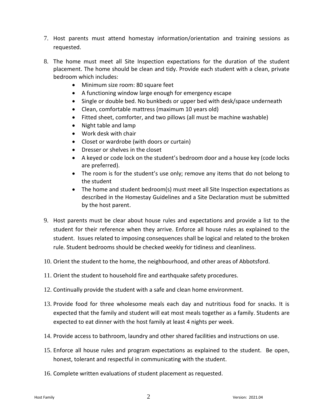- 7. Host parents must attend homestay information/orientation and training sessions as requested.
- 8. The home must meet all Site Inspection expectations for the duration of the student placement. The home should be clean and tidy. Provide each student with a clean, private bedroom which includes:
	- Minimum size room: 80 square feet
	- A functioning window large enough for emergency escape
	- Single or double bed. No bunkbeds or upper bed with desk/space underneath
	- Clean, comfortable mattress (maximum 10 years old)
	- Fitted sheet, comforter, and two pillows (all must be machine washable)
	- Night table and lamp
	- Work desk with chair
	- Closet or wardrobe (with doors or curtain)
	- Dresser or shelves in the closet
	- A keyed or code lock on the student's bedroom door and a house key (code locks are preferred).
	- The room is for the student's use only; remove any items that do not belong to the student
	- The home and student bedroom(s) must meet all Site Inspection expectations as described in the Homestay Guidelines and a Site Declaration must be submitted by the host parent.
- 9. Host parents must be clear about house rules and expectations and provide a list to the student for their reference when they arrive. Enforce all house rules as explained to the student. Issues related to imposing consequences shall be logical and related to the broken rule. Student bedrooms should be checked weekly for tidiness and cleanliness.
- 10. Orient the student to the home, the neighbourhood, and other areas of Abbotsford.
- 11. Orient the student to household fire and earthquake safety procedures.
- 12. Continually provide the student with a safe and clean home environment.
- 13. Provide food for three wholesome meals each day and nutritious food for snacks. It is expected that the family and student will eat most meals together as a family. Students are expected to eat dinner with the host family at least 4 nights per week.
- 14. Provide access to bathroom, laundry and other shared facilities and instructions on use.
- 15. Enforce all house rules and program expectations as explained to the student. Be open, honest, tolerant and respectful in communicating with the student.
- 16. Complete written evaluations of student placement as requested.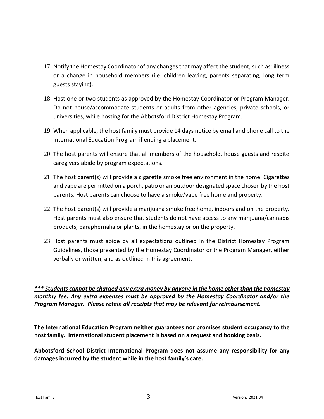- 17. Notify the Homestay Coordinator of any changes that may affect the student, such as: illness or a change in household members (i.e. children leaving, parents separating, long term guests staying).
- 18. Host one or two students as approved by the Homestay Coordinator or Program Manager. Do not house/accommodate students or adults from other agencies, private schools, or universities, while hosting for the Abbotsford District Homestay Program.
- 19. When applicable, the host family must provide 14 days notice by email and phone call to the International Education Program if ending a placement.
- 20. The host parents will ensure that all members of the household, house guests and respite caregivers abide by program expectations.
- 21. The host parent(s) will provide a cigarette smoke free environment in the home. Cigarettes and vape are permitted on a porch, patio or an outdoor designated space chosen by the host parents. Host parents can choose to have a smoke/vape free home and property.
- 22. The host parent(s) will provide a marijuana smoke free home, indoors and on the property. Host parents must also ensure that students do not have access to any marijuana/cannabis products, paraphernalia or plants, in the homestay or on the property.
- 23. Host parents must abide by all expectations outlined in the District Homestay Program Guidelines, those presented by the Homestay Coordinator or the Program Manager, either verbally or written, and as outlined in this agreement.

*\*\*\* Students cannot be charged any extra money by anyone in the home other than the homestay monthly fee. Any extra expenses must be approved by the Homestay Coordinator and/or the Program Manager. Please retain all receipts that may be relevant for reimbursement.* 

**The International Education Program neither guarantees nor promises student occupancy to the host family. International student placement is based on a request and booking basis.** 

**Abbotsford School District International Program does not assume any responsibility for any damages incurred by the student while in the host family's care.**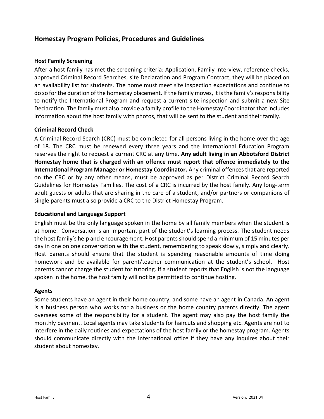# **Homestay Program Policies, Procedures and Guidelines**

# <span id="page-8-0"></span>**Host Family Screening**

After a host family has met the screening criteria: Application, Family Interview, reference checks, approved Criminal Record Searches, site Declaration and Program Contract, they will be placed on an availability list for students. The home must meet site inspection expectations and continue to do so for the duration of the homestay placement. If the family moves, it is the family's responsibility to notify the International Program and request a current site inspection and submit a new Site Declaration. The family must also provide a family profile to the Homestay Coordinator that includes information about the host family with photos, that will be sent to the student and their family.

# <span id="page-8-1"></span>**Criminal Record Check**

A Criminal Record Search (CRC) must be completed for all persons living in the home over the age of 18. The CRC must be renewed every three years and the International Education Program reserves the right to request a current CRC at any time. **Any adult living in an Abbotsford District Homestay home that is charged with an offence must report that offence immediately to the International Program Manager or Homestay Coordinator.** Any criminal offences that are reported on the CRC or by any other means, must be approved as per District Criminal Record Search Guidelines for Homestay Families. The cost of a CRC is incurred by the host family. Any long-term adult guests or adults that are sharing in the care of a student, and/or partners or companions of single parents must also provide a CRC to the District Homestay Program.

#### <span id="page-8-2"></span>**Educational and Language Support**

English must be the only language spoken in the home by all family members when the student is at home. Conversation is an important part of the student's learning process. The student needs the host family's help and encouragement. Host parents should spend a minimum of 15 minutes per day in one on one conversation with the student, remembering to speak slowly, simply and clearly. Host parents should ensure that the student is spending reasonable amounts of time doing homework and be available for parent/teacher communication at the student's school. Host parents cannot charge the student for tutoring. If a student reports that English is not the language spoken in the home, the host family will not be permitted to continue hosting.

#### <span id="page-8-3"></span>**Agents**

Some students have an agent in their home country, and some have an agent in Canada. An agent is a business person who works for a business or the home country parents directly. The agent oversees some of the responsibility for a student. The agent may also pay the host family the monthly payment. Local agents may take students for haircuts and shopping etc. Agents are not to interfere in the daily routines and expectations of the host family or the homestay program. Agents should communicate directly with the International office if they have any inquires about their student about homestay.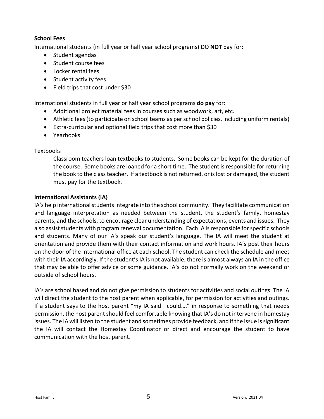# <span id="page-9-0"></span>**School Fees**

International students (in full year or half year school programs) DO **NOT** pay for:

- Student agendas
- Student course fees
- Locker rental fees
- Student activity fees
- Field trips that cost under \$30

International students in full year or half year school programs **do pay** for:

- Additional project material fees in courses such as woodwork, art, etc.
- Athletic fees (to participate on school teams as per school policies, including uniform rentals)
- Extra-curricular and optional field trips that cost more than \$30
- Yearbooks

# **Textbooks**

Classroom teachers loan textbooks to students. Some books can be kept for the duration of the course. Some books are loaned for a short time. The student is responsible for returning the book to the class teacher. If a textbook is not returned, or is lost or damaged, the student must pay for the textbook.

# <span id="page-9-1"></span>**International Assistants (IA)**

IA's help international students integrate into the school community. They facilitate communication and language interpretation as needed between the student, the student's family, homestay parents, and the schools, to encourage clear understanding of expectations, events and issues. They also assist students with program renewal documentation. Each IA is responsible for specific schools and students. Many of our IA's speak our student's language. The IA will meet the student at orientation and provide them with their contact information and work hours. IA's post their hours on the door of the International office at each school. The student can check the schedule and meet with their IA accordingly. If the student's IA is not available, there is almost always an IA in the office that may be able to offer advice or some guidance. IA's do not normally work on the weekend or outside of school hours.

IA's are school based and do not give permission to students for activities and social outings. The IA will direct the student to the host parent when applicable, for permission for activities and outings. If a student says to the host parent "my IA said I could…." in response to something that needs permission, the host parent should feel comfortable knowing that IA's do not intervene in homestay issues. The IA will listen to the student and sometimes provide feedback, and if the issue is significant the IA will contact the Homestay Coordinator or direct and encourage the student to have communication with the host parent.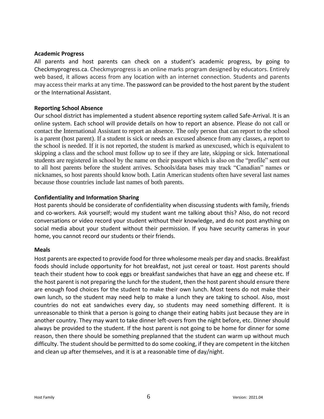#### **Academic Progress**

All parents and host parents can check on a student's academic progress, by going to Checkmyprogress.ca. Checkmyprogress is an online marks program designed by educators. Entirely web based, it allows access from any location with an internet connection. Students and parents may access their marks at any time. The password can be provided to the host parent by the student or the International Assistant.

#### **Reporting School Absence**

Our school district has implemented a student absence reporting system called Safe-Arrival. It is an online system. Each school will provide details on how to report an absence. Please do not call or contact the International Assistant to report an absence. The only person that can report to the school is a parent (host parent). If a student is sick or needs an excused absence from any classes, a report to the school is needed. If it is not reported, the student is marked as unexcused, which is equivalent to skipping a class and the school must follow up to see if they are late, skipping or sick. International students are registered in school by the name on their passport which is also on the "profile" sent out to all host parents before the student arrives. Schools/data bases may track "Canadian" names or nicknames, so host parents should know both. Latin American students often have several last names because those countries include last names of both parents.

# <span id="page-10-0"></span>**Confidentiality and Information Sharing**

Host parents should be considerate of confidentiality when discussing students with family, friends and co-workers. Ask yourself; would my student want me talking about this? Also, do not record conversations or video record your student without their knowledge, and do not post anything on social media about your student without their permission. If you have security cameras in your home, you cannot record our students or their friends.

#### <span id="page-10-1"></span>**Meals**

Host parents are expected to provide food for three wholesome meals per day and snacks. Breakfast foods should include opportunity for hot breakfast, not just cereal or toast. Host parents should teach their student how to cook eggs or breakfast sandwiches that have an egg and cheese etc. If the host parent is not preparing the lunch for the student, then the host parent should ensure there are enough food choices for the student to make their own lunch. Most teens do not make their own lunch, so the student may need help to make a lunch they are taking to school. Also, most countries do not eat sandwiches every day, so students may need something different. It is unreasonable to think that a person is going to change their eating habits just because they are in another country. They may want to take dinner left-overs from the night before, etc. Dinner should always be provided to the student. If the host parent is not going to be home for dinner for some reason, then there should be something preplanned that the student can warm up without much difficulty. The student should be permitted to do some cooking, if they are competent in the kitchen and clean up after themselves, and it is at a reasonable time of day/night.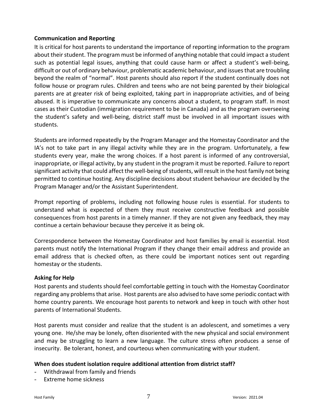#### <span id="page-11-0"></span>**Communication and Reporting**

It is critical for host parents to understand the importance of reporting information to the program about their student. The program must be informed of anything notable that could impact a student such as potential legal issues, anything that could cause harm or affect a student's well-being, difficult or out of ordinary behaviour, problematic academic behaviour, and issues that are troubling beyond the realm of "normal". Host parents should also report if the student continually does not follow house or program rules. Children and teens who are not being parented by their biological parents are at greater risk of being exploited, taking part in inappropriate activities, and of being abused. It is imperative to communicate any concerns about a student, to program staff. In most cases as their Custodian (immigration requirement to be in Canada) and as the program overseeing the student's safety and well-being, district staff must be involved in all important issues with students.

Students are informed repeatedly by the Program Manager and the Homestay Coordinator and the IA's not to take part in any illegal activity while they are in the program. Unfortunately, a few students every year, make the wrong choices. If a host parent is informed of any controversial, inappropriate, or illegal activity, by any student in the program it must be reported. Failure to report significant activity that could affect the well-being of students, will result in the host family not being permitted to continue hosting. Any discipline decisions about student behaviour are decided by the Program Manager and/or the Assistant Superintendent.

Prompt reporting of problems, including not following house rules is essential. For students to understand what is expected of them they must receive constructive feedback and possible consequences from host parents in a timely manner. If they are not given any feedback, they may continue a certain behaviour because they perceive it as being ok.

Correspondence between the Homestay Coordinator and host families by email is essential. Host parents must notify the International Program if they change their email address and provide an email address that is checked often, as there could be important notices sent out regarding homestay or the students.

# <span id="page-11-1"></span>**Asking for Help**

Host parents and students should feel comfortable getting in touch with the Homestay Coordinator regarding any problems that arise. Host parents are also advised to have some periodic contact with home country parents. We encourage host parents to network and keep in touch with other host parents of International Students.

Host parents must consider and realize that the student is an adolescent, and sometimes a very young one. He/she may be lonely, often disoriented with the new physical and social environment and may be struggling to learn a new language. The culture stress often produces a sense of insecurity. Be tolerant, honest, and courteous when communicating with your student.

# **When does student isolation require additional attention from district staff?**

- Withdrawal from family and friends
- Extreme home sickness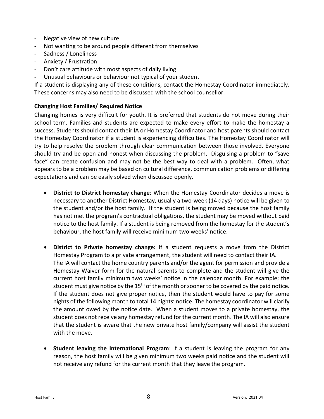- Negative view of new culture
- Not wanting to be around people different from themselves
- Sadness / Loneliness
- Anxiety / Frustration
- Don't care attitude with most aspects of daily living
- Unusual behaviours or behaviour not typical of your student

If a student is displaying any of these conditions, contact the Homestay Coordinator immediately. These concerns may also need to be discussed with the school counsellor.

# <span id="page-12-0"></span>**Changing Host Families/ Required Notice**

Changing homes is very difficult for youth. It is preferred that students do not move during their school term. Families and students are expected to make every effort to make the homestay a success. Students should contact their IA or Homestay Coordinator and host parents should contact the Homestay Coordinator if a student is experiencing difficulties. The Homestay Coordinator will try to help resolve the problem through clear communication between those involved. Everyone should try and be open and honest when discussing the problem. Disguising a problem to "save face" can create confusion and may not be the best way to deal with a problem. Often, what appears to be a problem may be based on cultural difference, communication problems or differing expectations and can be easily solved when discussed openly.

- **District to District homestay change**: When the Homestay Coordinator decides a move is necessary to another District Homestay, usually a two-week (14 days) notice will be given to the student and/or the host family. If the student is being moved because the host family has not met the program's contractual obligations, the student may be moved without paid notice to the host family. If a student is being removed from the homestay for the student's behaviour, the host family will receive minimum two weeks' notice.
- **District to Private homestay change:** If a student requests a move from the District Homestay Program to a private arrangement, the student will need to contact their IA. The IA will contact the home country parents and/or the agent for permission and provide a Homestay Waiver form for the natural parents to complete and the student will give the current host family minimum two weeks' notice in the calendar month. For example; the student must give notice by the 15<sup>th</sup> of the month or sooner to be covered by the paid notice. If the student does not give proper notice, then the student would have to pay for some nights of the following month to total 14 nights' notice. The homestay coordinator will clarify the amount owed by the notice date. When a student moves to a private homestay, the student does not receive any homestay refund for the current month. The IA will also ensure that the student is aware that the new private host family/company will assist the student with the move.
- **Student leaving the International Program**: If a student is leaving the program for any reason, the host family will be given minimum two weeks paid notice and the student will not receive any refund for the current month that they leave the program.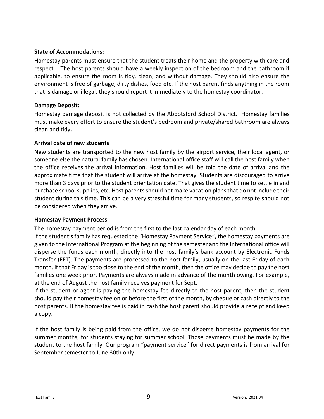#### <span id="page-13-0"></span>**State of Accommodations:**

Homestay parents must ensure that the student treats their home and the property with care and respect. The host parents should have a weekly inspection of the bedroom and the bathroom if applicable, to ensure the room is tidy, clean, and without damage. They should also ensure the environment is free of garbage, dirty dishes, food etc. If the host parent finds anything in the room that is damage or illegal, they should report it immediately to the homestay coordinator.

# <span id="page-13-1"></span>**Damage Deposit:**

Homestay damage deposit is not collected by the Abbotsford School District. Homestay families must make every effort to ensure the student's bedroom and private/shared bathroom are always clean and tidy.

# <span id="page-13-2"></span>**Arrival date of new students**

New students are transported to the new host family by the airport service, their local agent, or someone else the natural family has chosen. International office staff will call the host family when the office receives the arrival information. Host families will be told the date of arrival and the approximate time that the student will arrive at the homestay. Students are discouraged to arrive more than 3 days prior to the student orientation date. That gives the student time to settle in and purchase school supplies, etc. Host parents should not make vacation plans that do not include their student during this time. This can be a very stressful time for many students, so respite should not be considered when they arrive.

#### <span id="page-13-3"></span>**Homestay Payment Process**

The homestay payment period is from the first to the last calendar day of each month.

If the student's family has requested the "Homestay Payment Service", the homestay payments are given to the International Program at the beginning of the semester and the International office will disperse the funds each month, directly into the host family's bank account by Electronic Funds Transfer (EFT). The payments are processed to the host family, usually on the last Friday of each month. If that Friday is too close to the end of the month, then the office may decide to pay the host families one week prior. Payments are always made in advance of the month owing. For example, at the end of August the host family receives payment for Sept.

If the student or agent is paying the homestay fee directly to the host parent, then the student should pay their homestay fee on or before the first of the month, by cheque or cash directly to the host parents. If the homestay fee is paid in cash the host parent should provide a receipt and keep a copy.

If the host family is being paid from the office, we do not disperse homestay payments for the summer months, for students staying for summer school. Those payments must be made by the student to the host family. Our program "payment service" for direct payments is from arrival for September semester to June 30th only.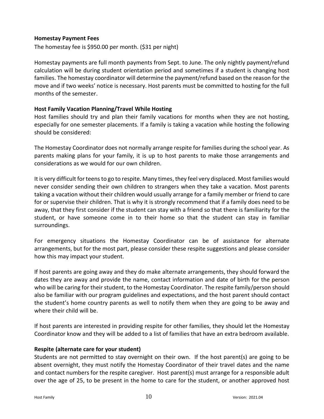#### <span id="page-14-0"></span>**Homestay Payment Fees**

The homestay fee is \$950.00 per month. (\$31 per night)

Homestay payments are full month payments from Sept. to June. The only nightly payment/refund calculation will be during student orientation period and sometimes if a student is changing host families. The homestay coordinator will determine the payment/refund based on the reason for the move and if two weeks' notice is necessary. Host parents must be committed to hosting for the full months of the semester.

#### <span id="page-14-1"></span>**Host Family Vacation Planning/Travel While Hosting**

Host families should try and plan their family vacations for months when they are not hosting, especially for one semester placements. If a family is taking a vacation while hosting the following should be considered:

The Homestay Coordinator does not normally arrange respite for families during the school year. As parents making plans for your family, it is up to host parents to make those arrangements and considerations as we would for our own children.

It is very difficult for teensto go to respite. Many times, they feel very displaced. Most families would never consider sending their own children to strangers when they take a vacation. Most parents taking a vacation without their children would usually arrange for a family member or friend to care for or supervise their children. That is why it is strongly recommend that if a family does need to be away, that they first consider if the student can stay with a friend so that there is familiarity for the student, or have someone come in to their home so that the student can stay in familiar surroundings.

For emergency situations the Homestay Coordinator can be of assistance for alternate arrangements, but for the most part, please consider these respite suggestions and please consider how this may impact your student.

If host parents are going away and they do make alternate arrangements, they should forward the dates they are away and provide the name, contact information and date of birth for the person who will be caring for their student, to the Homestay Coordinator. The respite family/person should also be familiar with our program guidelines and expectations, and the host parent should contact the student's home country parents as well to notify them when they are going to be away and where their child will be.

If host parents are interested in providing respite for other families, they should let the Homestay Coordinator know and they will be added to a list of families that have an extra bedroom available.

#### <span id="page-14-2"></span>**Respite (alternate care for your student)**

Students are not permitted to stay overnight on their own. If the host parent(s) are going to be absent overnight, they must notify the Homestay Coordinator of their travel dates and the name and contact numbers for the respite caregiver. Host parent(s) must arrange for a responsible adult over the age of 25, to be present in the home to care for the student, or another approved host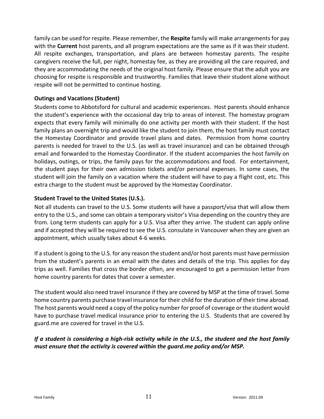family can be used for respite. Please remember, the **Respite** family will make arrangements for pay with the **Current** host parents, and all program expectations are the same as if it was their student. All respite exchanges, transportation, and plans are between homestay parents. The respite caregivers receive the full, per night, homestay fee, as they are providing all the care required, and they are accommodating the needs of the original host family. Please ensure that the adult you are choosing for respite is responsible and trustworthy. Families that leave their student alone without respite will not be permitted to continue hosting.

# <span id="page-15-0"></span>**Outings and Vacations (Student)**

Students come to Abbotsford for cultural and academic experiences. Host parents should enhance the student's experience with the occasional day trip to areas of interest. The homestay program expects that every family will minimally do one activity per month with their student. If the host family plans an overnight trip and would like the student to join them, the host family must contact the Homestay Coordinator and provide travel plans and dates. Permission from home country parents is needed for travel to the U.S. (as well as travel insurance) and can be obtained through email and forwarded to the Homestay Coordinator. If the student accompanies the host family on holidays, outings, or trips, the family pays for the accommodations and food. For entertainment, the student pays for their own admission tickets and/or personal expenses. In some cases, the student will join the family on a vacation where the student will have to pay a flight cost, etc. This extra charge to the student must be approved by the Homestay Coordinator.

# <span id="page-15-1"></span>**Student Travel to the United States (U.S.).**

Not all students can travel to the U.S. Some students will have a passport/visa that will allow them entry to the U.S., and some can obtain a temporary visitor's Visa depending on the country they are from. Long term students can apply for a U.S. Visa after they arrive. The student can apply online and if accepted they will be required to see the U.S. consulate in Vancouver when they are given an appointment, which usually takes about 4-6 weeks.

If a student is going to the U.S. for any reason the student and/or host parents must have permission from the student's parents in an email with the dates and details of the trip. This applies for day trips as well. Families that cross the border often, are encouraged to get a permission letter from home country parents for dates that cover a semester.

The student would also need travel insurance if they are covered by MSP at the time of travel. Some home country parents purchase travel insurance for their child for the duration of their time abroad. The host parents would need a copy of the policy number for proof of coverage or the student would have to purchase travel medical insurance prior to entering the U.S. Students that are covered by guard.me are covered for travel in the U.S.

# *If a student is considering a high-risk activity while in the U.S., the student and the host family must ensure that the activity is covered within the guard.me policy and/or MSP.*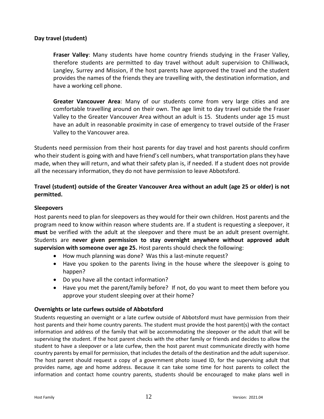# <span id="page-16-0"></span>**Day travel (student)**

**Fraser Valley**: Many students have home country friends studying in the Fraser Valley, therefore students are permitted to day travel without adult supervision to Chilliwack, Langley, Surrey and Mission, if the host parents have approved the travel and the student provides the names of the friends they are travelling with, the destination information, and have a working cell phone.

**Greater Vancouver Area**: Many of our students come from very large cities and are comfortable travelling around on their own. The age limit to day travel outside the Fraser Valley to the Greater Vancouver Area without an adult is 15. Students under age 15 must have an adult in reasonable proximity in case of emergency to travel outside of the Fraser Valley to the Vancouver area.

Students need permission from their host parents for day travel and host parents should confirm who their student is going with and have friend's cell numbers, what transportation plans they have made, when they will return, and what their safety plan is, if needed. If a student does not provide all the necessary information, they do not have permission to leave Abbotsford.

# <span id="page-16-1"></span>**Travel (student) outside of the Greater Vancouver Area without an adult (age 25 or older) is not permitted.**

#### <span id="page-16-2"></span>**Sleepovers**

Host parents need to plan for sleepovers as they would for their own children. Host parents and the program need to know within reason where students are. If a student is requesting a sleepover, it **must** be verified with the adult at the sleepover and there must be an adult present overnight. Students are **never given permission to stay overnight anywhere without approved adult supervision with someone over age 25.** Host parents should check the following:

- How much planning was done? Was this a last-minute request?
- Have you spoken to the parents living in the house where the sleepover is going to happen?
- Do you have all the contact information?
- Have you met the parent/family before? If not, do you want to meet them before you approve your student sleeping over at their home?

# <span id="page-16-3"></span>**Overnights or late curfews outside of Abbotsford**

Students requesting an overnight or a late curfew outside of Abbotsford must have permission from their host parents and their home country parents. The student must provide the host parent(s) with the contact information and address of the family that will be accommodating the sleepover or the adult that will be supervising the student. If the host parent checks with the other family or friends and decides to allow the student to have a sleepover or a late curfew, then the host parent must communicate directly with home country parents by email for permission, that includes the details of the destination and the adult supervisor. The host parent should request a copy of a government photo issued ID, for the supervising adult that provides name, age and home address. Because it can take some time for host parents to collect the information and contact home country parents, students should be encouraged to make plans well in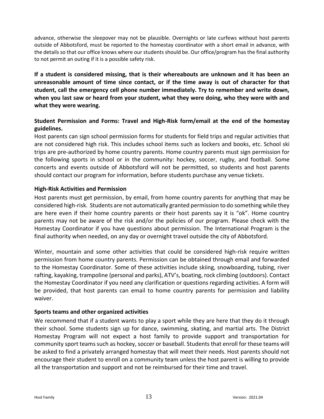advance, otherwise the sleepover may not be plausible. Overnights or late curfews without host parents outside of Abbotsford, must be reported to the homestay coordinator with a short email in advance, with the details so that our office knows where our students should be. Our office/program has the final authority to not permit an outing if it is a possible safety risk.

**If a student is considered missing, that is their whereabouts are unknown and it has been an unreasonable amount of time since contact, or if the time away is out of character for that student, call the emergency cell phone number immediately. Try to remember and write down, when you last saw or heard from your student, what they were doing, who they were with and what they were wearing.**

# <span id="page-17-0"></span>**Student Permission and Forms: Travel and High-Risk form/email at the end of the homestay guidelines.**

Host parents can sign school permission forms for students for field trips and regular activities that are not considered high risk. This includes school items such as lockers and books, etc. School ski trips are pre-authorized by home country parents. Home country parents must sign permission for the following sports in school or in the community: hockey, soccer, rugby, and football. Some concerts and events outside of Abbotsford will not be permitted, so students and host parents should contact our program for information, before students purchase any venue tickets.

# <span id="page-17-1"></span>**High-Risk Activities and Permission**

Host parents must get permission, by email, from home country parents for anything that may be considered high-risk. Students are not automatically granted permission to do something while they are here even if their home country parents or their host parents say it is "ok". Home country parents may not be aware of the risk and/or the policies of our program. Please check with the Homestay Coordinator if you have questions about permission. The International Program is the final authority when needed, on any day or overnight travel outside the city of Abbotsford.

Winter, mountain and some other activities that could be considered high-risk require written permission from home country parents. Permission can be obtained through email and forwarded to the Homestay Coordinator. Some of these activities include skiing, snowboarding, tubing, river rafting, kayaking, trampoline (personal and parks), ATV's, boating, rock climbing (outdoors). Contact the Homestay Coordinator if you need any clarification or questions regarding activities. A form will be provided, that host parents can email to home country parents for permission and liability waiver.

#### <span id="page-17-2"></span>**Sports teams and other organized activities**

We recommend that if a student wants to play a sport while they are here that they do it through their school. Some students sign up for dance, swimming, skating, and martial arts. The District Homestay Program will not expect a host family to provide support and transportation for community sport teams such as hockey, soccer or baseball. Students that enroll for these teams will be asked to find a privately arranged homestay that will meet their needs. Host parents should not encourage their student to enroll on a community team unless the host parent is willing to provide all the transportation and support and not be reimbursed for their time and travel.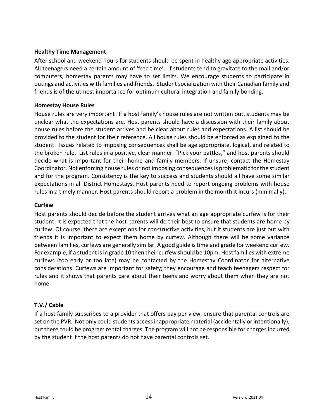# <span id="page-18-0"></span>**Healthy Time Management**

After school and weekend hours for students should be spent in healthy age appropriate activities. All teenagers need a certain amount of 'free time'. If students tend to gravitate to the mall and/or computers, homestay parents may have to set limits. We encourage students to participate in outings and activities with families and friends. Student socialization with their Canadian family and friends is of the utmost importance for optimum cultural integration and family bonding.

#### <span id="page-18-1"></span>**Homestay House Rules**

House rules are very important! If a host family's house rules are not written out, students may be unclear what the expectations are. Host parents should have a discussion with their family about house rules before the student arrives and be clear about rules and expectations. A list should be provided to the student for their reference. All house rules should be enforced as explained to the student. Issues related to imposing consequences shall be age appropriate, logical, and related to the broken rule. List rules in a positive, clear manner. "Pick your battles," and host parents should decide what is important for their home and family members. If unsure, contact the Homestay Coordinator. Not enforcing house rules or not imposing consequences is problematic for the student and for the program. Consistency is the key to success and students should all have some similar expectations in all District Homestays. Host parents need to report ongoing problems with house rules in a timely manner. Host parents should report a problem in the month it incurs (minimally).

# <span id="page-18-2"></span>**Curfew**

Host parents should decide before the student arrives what an age appropriate curfew is for their student. It is expected that the host parents will do their best to ensure that students are home by curfew. Of course, there are exceptions for constructive activities, but if students are just out with friends it is important to expect them home by curfew. Although there will be some variance between families, curfews are generally similar. A good guide is time and grade for weekend curfew. For example, if a student is in grade 10 then their curfew should be 10pm. Host families with extreme curfews (too early or too late) may be contacted by the Homestay Coordinator for alternative considerations. Curfews are important for safety; they encourage and teach teenagers respect for rules and it shows that parents care about their teens and worry about them when they are not home.

# <span id="page-18-3"></span>**T.V./ Cable**

If a host family subscribes to a provider that offers pay per view, ensure that parental controls are set on the PVR. Not only could students access inappropriate material (accidentally or intentionally), but there could be program rental charges. The program will not be responsible for charges incurred by the student if the host parents do not have parental controls set.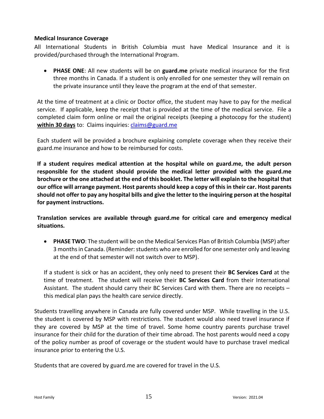#### <span id="page-19-0"></span>**Medical Insurance Coverage**

All International Students in British Columbia must have Medical Insurance and it is provided/purchased through the International Program.

• **PHASE ONE**: All new students will be on **guard.me** private medical insurance for the first three months in Canada. If a student is only enrolled for one semester they will remain on the private insurance until they leave the program at the end of that semester.

At the time of treatment at a clinic or Doctor office, the student may have to pay for the medical service. If applicable, keep the receipt that is provided at the time of the medical service. File a completed claim form online or mail the original receipts (keeping a photocopy for the student) **within 30 days** to: Claims inquiries: [claims@guard.me](mailto:claims@guard.me)

Each student will be provided a brochure explaining complete coverage when they receive their guard.me insurance and how to be reimbursed for costs.

**If a student requires medical attention at the hospital while on guard.me, the adult person responsible for the student should provide the medical letter provided with the guard.me brochure or the one attached at the end of this booklet. The letter will explain to the hospital that our office will arrange payment. Host parents should keep a copy of this in their car. Host parents should not offer to pay any hospital bills and give the letter to the inquiring person at the hospital for payment instructions.** 

**Translation services are available through guard.me for critical care and emergency medical situations.**

• **PHASE TWO**: The student will be on the Medical Services Plan of British Columbia (MSP) after 3 months in Canada. (Reminder: students who are enrolled for one semester only and leaving at the end of that semester will not switch over to MSP).

If a student is sick or has an accident, they only need to present their **BC Services Card** at the time of treatment. The student will receive their **BC Services Card** from their International Assistant. The student should carry their BC Services Card with them. There are no receipts – this medical plan pays the health care service directly.

Students travelling anywhere in Canada are fully covered under MSP. While travelling in the U.S. the student is covered by MSP with restrictions. The student would also need travel insurance if they are covered by MSP at the time of travel. Some home country parents purchase travel insurance for their child for the duration of their time abroad. The host parents would need a copy of the policy number as proof of coverage or the student would have to purchase travel medical insurance prior to entering the U.S.

Students that are covered by guard.me are covered for travel in the U.S.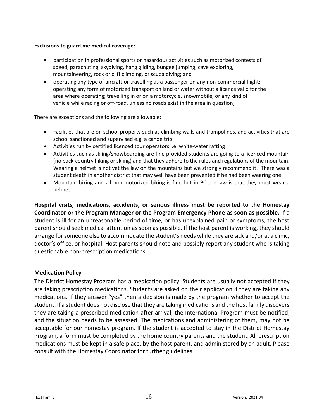#### **Exclusions to guard.me medical coverage:**

- participation in professional sports or hazardous activities such as motorized contests of speed, parachuting, skydiving, hang gliding, bungee jumping, cave exploring, mountaineering, rock or cliff climbing, or scuba diving; and
- operating any type of aircraft or travelling as a passenger on any non-commercial flight; operating any form of motorized transport on land or water without a licence valid for the area where operating; travelling in or on a motorcycle, snowmobile, or any kind of vehicle while racing or off-road, unless no roads exist in the area in question;

There are exceptions and the following are allowable:

- Facilities that are on school property such as climbing walls and trampolines, and activities that are school sanctioned and supervised e.g. a canoe trip.
- Activities run by certified licenced tour operators i.e. white-water rafting
- Activities such as skiing/snowboarding are fine provided students are going to a licenced mountain (no back-country hiking or skiing) and that they adhere to the rules and regulations of the mountain. Wearing a helmet is not yet the law on the mountains but we strongly recommend it. There was a student death in another district that may well have been prevented if he had been wearing one.
- Mountain biking and all non-motorized biking is fine but in BC the law is that they must wear a helmet.

**Hospital visits, medications, accidents, or serious illness must be reported to the Homestay Coordinator or the Program Manager or the Program Emergency Phone as soon as possible.** If a student is ill for an unreasonable period of time, or has unexplained pain or symptoms, the host parent should seek medical attention as soon as possible. If the host parent is working, they should arrange for someone else to accommodate the student's needs while they are sick and/or at a clinic, doctor's office, or hospital. Host parents should note and possibly report any student who is taking questionable non-prescription medications.

#### <span id="page-20-0"></span>**Medication Policy**

The District Homestay Program has a medication policy. Students are usually not accepted if they are taking prescription medications. Students are asked on their application if they are taking any medications. If they answer "yes" then a decision is made by the program whether to accept the student. If a student does not disclose that they are taking medications and the host family discovers they are taking a prescribed medication after arrival, the International Program must be notified, and the situation needs to be assessed. The medications and administering of them, may not be acceptable for our homestay program. If the student is accepted to stay in the District Homestay Program, a form must be completed by the home country parents and the student. All prescription medications must be kept in a safe place, by the host parent, and administered by an adult. Please consult with the Homestay Coordinator for further guidelines.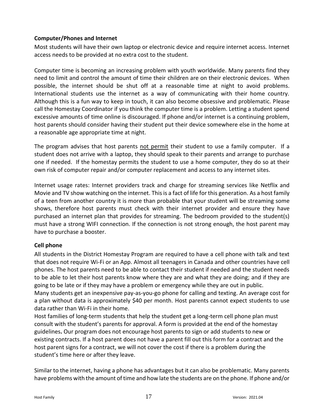# <span id="page-21-0"></span>**Computer/Phones and Internet**

Most students will have their own laptop or electronic device and require internet access. Internet access needs to be provided at no extra cost to the student.

Computer time is becoming an increasing problem with youth worldwide. Many parents find they need to limit and control the amount of time their children are on their electronic devices. When possible, the internet should be shut off at a reasonable time at night to avoid problems. International students use the internet as a way of communicating with their home country. Although this is a fun way to keep in touch, it can also become obsessive and problematic. Please call the Homestay Coordinator if you think the computer time is a problem. Letting a student spend excessive amounts of time online is discouraged. If phone and/or internet is a continuing problem, host parents should consider having their student put their device somewhere else in the home at a reasonable age appropriate time at night.

The program advises that host parents not permit their student to use a family computer. If a student does not arrive with a laptop, they should speak to their parents and arrange to purchase one if needed. If the homestay permits the student to use a home computer, they do so at their own risk of computer repair and/or computer replacement and access to any internet sites.

Internet usage rates: Internet providers track and charge for streaming services like Netflix and Movie and TV show watching on the internet. This is a fact of life for this generation. As a host family of a teen from another country it is more than probable that your student will be streaming some shows, therefore host parents must check with their internet provider and ensure they have purchased an internet plan that provides for streaming. The bedroom provided to the student(s) must have a strong WIFI connection. If the connection is not strong enough, the host parent may have to purchase a booster.

# <span id="page-21-1"></span>**Cell phone**

All students in the District Homestay Program are required to have a cell phone with talk and text that does not require Wi-Fi or an App. Almost all teenagers in Canada and other countries have cell phones. The host parents need to be able to contact their student if needed and the student needs to be able to let their host parents know where they are and what they are doing; and if they are going to be late or if they may have a problem or emergency while they are out in public.

Many students get an inexpensive pay-as-you-go phone for calling and texting. An average cost for a plan without data is approximately \$40 per month. Host parents cannot expect students to use data rather than Wi-Fi in their home.

Host families of long-term students that help the student get a long-term cell phone plan must consult with the student's parents for approval. A form is provided at the end of the homestay guidelines**.** Our program does not encourage host parents to sign or add students to new or existing contracts. If a host parent does not have a parent fill out this form for a contract and the host parent signs for a contract, we will not cover the cost if there is a problem during the student's time here or after they leave.

Similar to the internet, having a phone has advantages but it can also be problematic. Many parents have problems with the amount of time and how late the students are on the phone. If phone and/or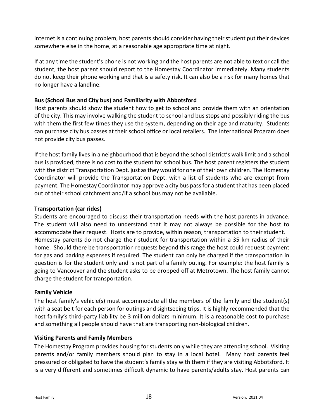internet is a continuing problem, host parents should consider having their student put their devices somewhere else in the home, at a reasonable age appropriate time at night.

If at any time the student's phone is not working and the host parents are not able to text or call the student, the host parent should report to the Homestay Coordinator immediately. Many students do not keep their phone working and that is a safety risk. It can also be a risk for many homes that no longer have a landline.

# <span id="page-22-0"></span>**Bus (School Bus and City bus) and Familiarity with Abbotsford**

Host parents should show the student how to get to school and provide them with an orientation of the city. This may involve walking the student to school and bus stops and possibly riding the bus with them the first few times they use the system, depending on their age and maturity. Students can purchase city bus passes at their school office or local retailers. The International Program does not provide city bus passes.

If the host family lives in a neighbourhood that is beyond the school district's walk limit and a school bus is provided, there is no cost to the student for school bus. The host parent registers the student with the district Transportation Dept. just as they would for one of their own children. The Homestay Coordinator will provide the Transportation Dept. with a list of students who are exempt from payment. The Homestay Coordinator may approve a city bus pass for a student that has been placed out of their school catchment and/if a school bus may not be available.

# <span id="page-22-1"></span>**Transportation (car rides)**

Students are encouraged to discuss their transportation needs with the host parents in advance. The student will also need to understand that it may not always be possible for the host to accommodate their request. Hosts are to provide, within reason, transportation to their student. Homestay parents do not charge their student for transportation within a 35 km radius of their home. Should there be transportation requests beyond this range the host could request payment for gas and parking expenses if required. The student can only be charged if the transportation in question is for the student only and is not part of a family outing. For example: the host family is going to Vancouver and the student asks to be dropped off at Metrotown. The host family cannot charge the student for transportation.

# <span id="page-22-2"></span>**Family Vehicle**

The host family's vehicle(s) must accommodate all the members of the family and the student(s) with a seat belt for each person for outings and sightseeing trips. It is highly recommended that the host family's third-party liability be 3 million dollars minimum. It is a reasonable cost to purchase and something all people should have that are transporting non-biological children.

# <span id="page-22-3"></span>**Visiting Parents and Family Members**

The Homestay Program provides housing for students only while they are attending school. Visiting parents and/or family members should plan to stay in a local hotel. Many host parents feel pressured or obligated to have the student's family stay with them if they are visiting Abbotsford. It is a very different and sometimes difficult dynamic to have parents/adults stay. Host parents can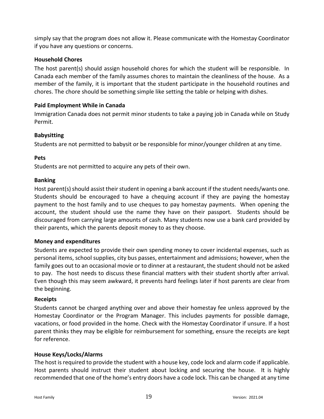simply say that the program does not allow it. Please communicate with the Homestay Coordinator if you have any questions or concerns.

# <span id="page-23-0"></span>**Household Chores**

The host parent(s) should assign household chores for which the student will be responsible. In Canada each member of the family assumes chores to maintain the cleanliness of the house. As a member of the family, it is important that the student participate in the household routines and chores. The chore should be something simple like setting the table or helping with dishes.

#### <span id="page-23-1"></span>**Paid Employment While in Canada**

Immigration Canada does not permit minor students to take a paying job in Canada while on Study Permit.

# <span id="page-23-2"></span>**Babysitting**

Students are not permitted to babysit or be responsible for minor/younger children at any time.

#### <span id="page-23-3"></span>**Pets**

Students are not permitted to acquire any pets of their own.

# <span id="page-23-4"></span>**Banking**

Host parent(s) should assist their student in opening a bank account if the student needs/wants one. Students should be encouraged to have a chequing account if they are paying the homestay payment to the host family and to use cheques to pay homestay payments. When opening the account, the student should use the name they have on their passport. Students should be discouraged from carrying large amounts of cash. Many students now use a bank card provided by their parents, which the parents deposit money to as they choose.

#### <span id="page-23-5"></span>**Money and expenditures**

Students are expected to provide their own spending money to cover incidental expenses, such as personal items, school supplies, city bus passes, entertainment and admissions; however, when the family goes out to an occasional movie or to dinner at a restaurant, the student should not be asked to pay. The host needs to discuss these financial matters with their student shortly after arrival. Even though this may seem awkward, it prevents hard feelings later if host parents are clear from the beginning.

#### <span id="page-23-6"></span>**Receipts**

Students cannot be charged anything over and above their homestay fee unless approved by the Homestay Coordinator or the Program Manager. This includes payments for possible damage, vacations, or food provided in the home. Check with the Homestay Coordinator if unsure. If a host parent thinks they may be eligible for reimbursement for something, ensure the receipts are kept for reference.

#### <span id="page-23-7"></span>**House Keys/Locks/Alarms**

The host is required to provide the student with a house key, code lock and alarm code if applicable. Host parents should instruct their student about locking and securing the house. It is highly recommended that one of the home's entry doors have a code lock. This can be changed at any time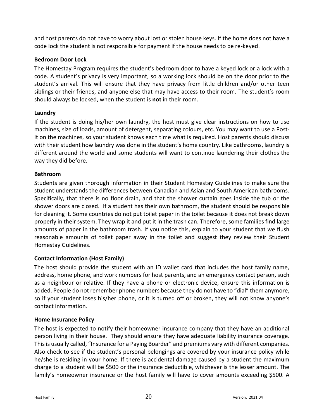and host parents do not have to worry about lost or stolen house keys. If the home does not have a code lock the student is not responsible for payment if the house needs to be re-keyed.

# <span id="page-24-0"></span>**Bedroom Door Lock**

The Homestay Program requires the student's bedroom door to have a keyed lock or a lock with a code. A student's privacy is very important, so a working lock should be on the door prior to the student's arrival. This will ensure that they have privacy from little children and/or other teen siblings or their friends, and anyone else that may have access to their room. The student's room should always be locked, when the student is **not** in their room.

# <span id="page-24-1"></span>**Laundry**

If the student is doing his/her own laundry, the host must give clear instructions on how to use machines, size of loads, amount of detergent, separating colours, etc. You may want to use a Post-It on the machines, so your student knows each time what is required. Host parents should discuss with their student how laundry was done in the student's home country. Like bathrooms, laundry is different around the world and some students will want to continue laundering their clothes the way they did before.

#### <span id="page-24-2"></span>**Bathroom**

Students are given thorough information in their Student Homestay Guidelines to make sure the student understands the differences between Canadian and Asian and South American bathrooms. Specifically, that there is no floor drain, and that the shower curtain goes inside the tub or the shower doors are closed. If a student has their own bathroom, the student should be responsible for cleaning it. Some countries do not put toilet paper in the toilet because it does not break down properly in their system. They wrap it and put it in the trash can. Therefore, some families find large amounts of paper in the bathroom trash. If you notice this, explain to your student that we flush reasonable amounts of toilet paper away in the toilet and suggest they review their Student Homestay Guidelines.

# <span id="page-24-3"></span>**Contact Information (Host Family)**

The host should provide the student with an ID wallet card that includes the host family name, address, home phone, and work numbers for host parents, and an emergency contact person, such as a neighbour or relative. If they have a phone or electronic device, ensure this information is added. People do not remember phone numbers because they do not have to "dial" them anymore, so if your student loses his/her phone, or it is turned off or broken, they will not know anyone's contact information.

#### <span id="page-24-4"></span>**Home Insurance Policy**

The host is expected to notify their homeowner insurance company that they have an additional person living in their house. They should ensure they have adequate liability insurance coverage. This is usually called, "Insurance for a Paying Boarder" and premiums vary with different companies. Also check to see if the student's personal belongings are covered by your insurance policy while he/she is residing in your home. If there is accidental damage caused by a student the maximum charge to a student will be \$500 or the insurance deductible, whichever is the lesser amount. The family's homeowner insurance or the host family will have to cover amounts exceeding \$500. A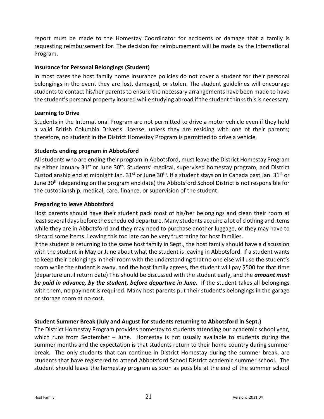report must be made to the Homestay Coordinator for accidents or damage that a family is requesting reimbursement for. The decision for reimbursement will be made by the International Program.

# <span id="page-25-0"></span>**Insurance for Personal Belongings (Student)**

In most cases the host family home insurance policies do not cover a student for their personal belongings in the event they are lost, damaged, or stolen. The student guidelines will encourage students to contact his/her parents to ensure the necessary arrangements have been made to have the student's personal property insured while studying abroad if the student thinks this is necessary.

# <span id="page-25-1"></span>**Learning to Drive**

Students in the International Program are not permitted to drive a motor vehicle even if they hold a valid British Columbia Driver's License, unless they are residing with one of their parents; therefore, no student in the District Homestay Program is permitted to drive a vehicle.

# <span id="page-25-2"></span>**Students ending program in Abbotsford**

All students who are ending their program in Abbotsford, must leave the District Homestay Program by either January 31<sup>st</sup> or June 30<sup>th</sup>. Students' medical, supervised homestay program, and District Custodianship end at midnight Jan.  $31^{st}$  or June  $30^{th}$ . If a student stays on in Canada past Jan.  $31^{st}$  or June 30<sup>th</sup> (depending on the program end date) the Abbotsford School District is not responsible for the custodianship, medical, care, finance, or supervision of the student.

# <span id="page-25-3"></span>**Preparing to leave Abbotsford**

Host parents should have their student pack most of his/her belongings and clean their room at least several days before the scheduled departure. Many students acquire a lot of clothing and items while they are in Abbotsford and they may need to purchase another luggage, or they may have to discard some items. Leaving this too late can be very frustrating for host families.

If the student is returning to the same host family in Sept., the host family should have a discussion with the student in May or June about what the student is leaving in Abbotsford. If a student wants to keep their belongings in their room with the understanding that no one else will use the student's room while the student is away, and the host family agrees, the student will pay \$500 for that time (departure until return date) This should be discussed with the student early, and the *amount must be paid in advance, by the student, before departure in June.* If the student takes all belongings with them, no payment is required. Many host parents put their student's belongings in the garage or storage room at no cost.

# <span id="page-25-4"></span>**Student Summer Break (July and August for students returning to Abbotsford in Sept.)**

The District Homestay Program provides homestay to students attending our academic school year, which runs from September - June. Homestay is not usually available to students during the summer months and the expectation is that students return to their home country during summer break. The only students that can continue in District Homestay during the summer break, are students that have registered to attend Abbotsford School District academic summer school. The student should leave the homestay program as soon as possible at the end of the summer school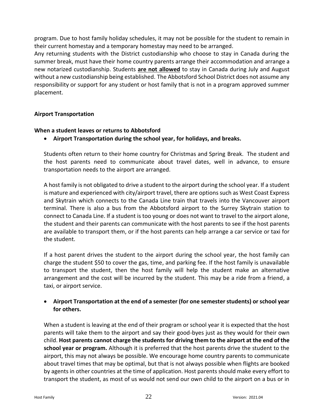program. Due to host family holiday schedules, it may not be possible for the student to remain in their current homestay and a temporary homestay may need to be arranged.

Any returning students with the District custodianship who choose to stay in Canada during the summer break, must have their home country parents arrange their accommodation and arrange a new notarized custodianship. Students **are not allowed** to stay in Canada during July and August without a new custodianship being established. The Abbotsford School District does not assume any responsibility or support for any student or host family that is not in a program approved summer placement.

# <span id="page-26-0"></span>**Airport Transportation**

# **When a student leaves or returns to Abbotsford**

• **Airport Transportation during the school year, for holidays, and breaks.**

Students often return to their home country for Christmas and Spring Break. The student and the host parents need to communicate about travel dates, well in advance, to ensure transportation needs to the airport are arranged.

A host family is not obligated to drive a student to the airport during the school year. If a student is mature and experienced with city/airport travel, there are options such as West Coast Express and Skytrain which connects to the Canada Line train that travels into the Vancouver airport terminal. There is also a bus from the Abbotsford airport to the Surrey Skytrain station to connect to Canada Line. If a student is too young or does not want to travel to the airport alone, the student and their parents can communicate with the host parents to see if the host parents are available to transport them, or if the host parents can help arrange a car service or taxi for the student.

If a host parent drives the student to the airport during the school year, the host family can charge the student \$50 to cover the gas, time, and parking fee. If the host family is unavailable to transport the student, then the host family will help the student make an alternative arrangement and the cost will be incurred by the student. This may be a ride from a friend, a taxi, or airport service.

# • **Airport Transportation at the end of a semester (for one semester students) or school year for others.**

When a student is leaving at the end of their program or school year it is expected that the host parents will take them to the airport and say their good-byes just as they would for their own child. **Host parents cannot charge the students for driving them to the airport at the end of the school year or program.** Although it is preferred that the host parents drive the student to the airport, this may not always be possible. We encourage home country parents to communicate about travel times that may be optimal, but that is not always possible when flights are booked by agents in other countries at the time of application. Host parents should make every effort to transport the student, as most of us would not send our own child to the airport on a bus or in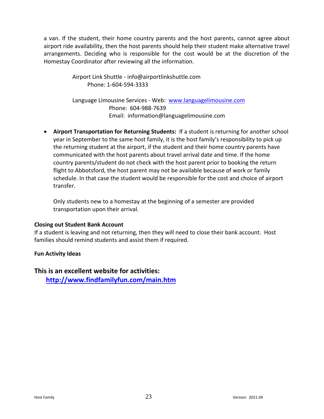a van. If the student, their home country parents and the host parents, cannot agree about airport ride availability, then the host parents should help their student make alternative travel arrangements. Deciding who is responsible for the cost would be at the discretion of the Homestay Coordinator after reviewing all the information.

> Airport Link Shuttle - info@airportlinkshuttle.com Phone: 1-604-594-3333

Language Limousine Services - Web: [www.languagelimousine.com](http://www.languagelimousine.com/) Phone: 604-988-7639 Email: information@languagelimousine.com

• **Airport Transportation for Returning Students:** If a student is returning for another school year in September to the same host family, it is the host family's responsibility to pick up the returning student at the airport, if the student and their home country parents have communicated with the host parents about travel arrival date and time. If the home country parents/student do not check with the host parent prior to booking the return flight to Abbotsford, the host parent may not be available because of work or family schedule. In that case the student would be responsible for the cost and choice of airport transfer.

Only students new to a homestay at the beginning of a semester are provided transportation upon their arrival.

#### **Closing out Student Bank Account**

If a student is leaving and not returning, then they will need to close their bank account. Host families should remind students and assist them if required.

# <span id="page-27-0"></span>**Fun Activity Ideas**

**This is an excellent website for activities: <http://www.findfamilyfun.com/main.htm>**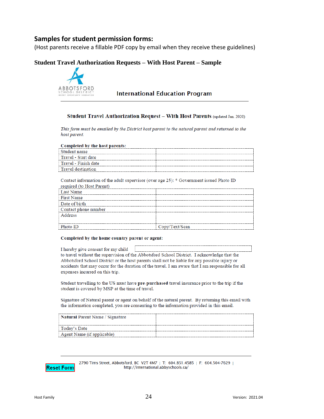# **Samples for student permission forms:**

(Host parents receive a fillable PDF copy by email when they receive these guidelines)

### **Student Travel Authorization Requests – With Host Parent – Sample**



**International Education Program** 

#### Student Travel Authorization Request - With Host Parents (updated Jan. 2020)

This form must be emailed by the District host parent to the natural parent and returned to the host parent.

#### Completed by the host parents:

| Student name              |  |
|---------------------------|--|
| Travel - Start date       |  |
| Travel - Finish date      |  |
| <b>Travel destination</b> |  |

Contact information of the adult supervisor (over age 25): \* Government issued Photo ID

| Copy/Text/Scan |
|----------------|
|                |

#### Completed by the home country parent or agent:

I hereby give consent for my child to travel without the supervision of the Abbotsford School District. I acknowledge that the Abbotsford School District or the host parents shall not be liable for any possible injury or accidents that may occur for the duration of the travel. I am aware that I am responsible for all expenses incurred on this trip.

Student travelling to the US must have pre-purchased travel insurance prior to the trip if the student is covered by MSP at the time of travel.

Signature of Natural parent or agent on behalf of the natural parent. By returning this email with the information completed, you are consenting to the information provided in this email.

| Natural Parent Name / Signature |  |
|---------------------------------|--|
| Today's Date                    |  |
| Agent Name (if applicable)      |  |



2790 Tims Street, Abbotsford, BC V2T 4M7 | T: 604.851.4585 | F: 604.504-7629 | http://international.abbyschools.ca/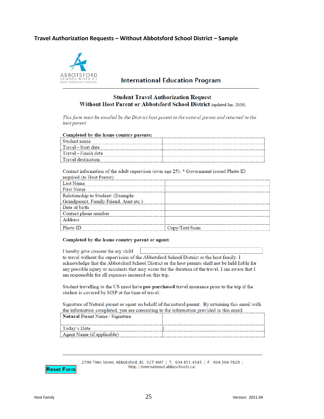#### <span id="page-29-0"></span>**Travel Authorization Requests – Without Abbotsford School District – Sample**



#### **International Education Program**

#### **Student Travel Authorization Request** Without Host Parent or Abbotsford School District (updated Jan. 2020)

This form must be emailed by the District host parent to the natural parent and returned to the host parent.

| Completed by the home country parents: |  |
|----------------------------------------|--|
| Student name                           |  |
| Travel - Start date                    |  |
| Travel - Finish date                   |  |
| Travel destination                     |  |

Contact information of the adult supervisor (over age 25): \* Government issued Photo ID required (to Host Darent)

| Teduffed (to Tiost Farent)             |                |
|----------------------------------------|----------------|
| Last Name                              |                |
| <b>First Name</b>                      |                |
| Relationship to Student: (Example:     |                |
| Grandparent, Family Friend, Aunt etc.) |                |
| Date of birth                          |                |
| Contact phone number                   |                |
| Address                                |                |
| Photo ID                               | Copy/Text/Scan |
|                                        |                |

#### Completed by the home country parent or agent:

I hereby give consent for my child to travel without the supervision of the Abbotsford School District or the host family. I acknowledge that the Abbotsford School District or the host parents shall not be held liable for any possible injury or accidents that may occur for the duration of the travel. I am aware that I am responsible for all expenses incurred on this trip.

Student travelling to the US must have pre-purchased travel insurance prior to the trip if the student is covered by MSP at the time of travel.

Signature of Natural parent or agent on behalf of the natural parent. By returning this email with the information completed, you are consenting to the information provided in this email. 

| Natural Parent Name / Signature |  |
|---------------------------------|--|
| Today's Date                    |  |
| Agent Name (if applicable)      |  |

2790 Tims Street, Abbotsford, BC\_V2T 4M7 | T: 604.851.4585 | F: 604.504-7629 | http://international.abbyschools.ca/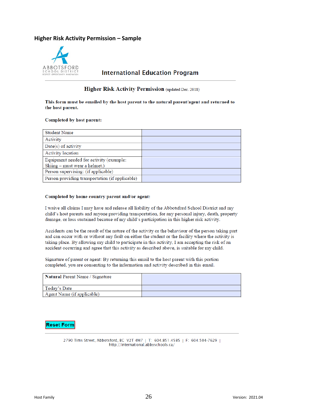#### <span id="page-30-0"></span>**Higher Risk Activity Permission – Sample**



#### **International Education Program**

#### Higher Risk Activity Permission (updated Dec. 2018)

#### This form must be emailed by the host parent to the natural parent/agent and returned to the host parent.

#### Completed by host parent:

| <b>Student Name</b>                             |  |
|-------------------------------------------------|--|
| Activity                                        |  |
| $Date(s)$ of activity                           |  |
| <b>Activity location</b>                        |  |
| Equipment needed for activity (example:         |  |
| Skiing – must wear a helmet.)                   |  |
| Person supervising: (if applicable)             |  |
| Person providing transportation (if applicable) |  |

#### Completed by home country parent and/or agent:

I waive all claims I may have and release all liability of the Abbotsford School District and my child's host parents and anyone providing transportation, for any personal injury, death, property damage, or loss sustained because of my child's participation in this higher risk activity.

Accidents can be the result of the nature of the activity or the behaviour of the person taking part and can occur with or without any fault on either the student or the facility where the activity is taking place. By allowing my child to participate in this activity, I am accepting the risk of an accident occurring and agree that this activity as described above, is suitable for my child.

Signature of parent or agent: By returning this email to the host parent with this portion completed, you are consenting to the information and activity described in this email.

| Natural Parent Name / Signature |  |
|---------------------------------|--|
| Today's Date                    |  |
| Agent Name (if applicable)      |  |

**Reset Form** 

2790 Tims Street, Abbotsford, BC V2T 4M7 | T: 604.851.4585 | F: 604.504-7629 | http://international.abbyschools.ca/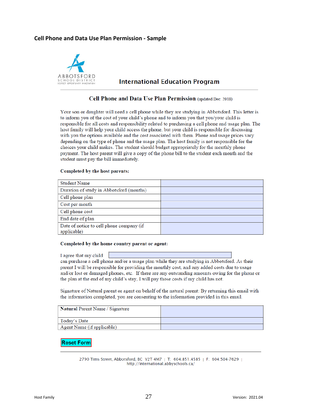#### <span id="page-31-0"></span>**Cell Phone and Data Use Plan Permission - Sample**



#### **International Education Program**

#### Cell Phone and Data Use Plan Permission (updated Dec. 2018)

Your son or daughter will need a cell phone while they are studying in Abbotsford. This letter is to inform you of the cost of your child's phone and to inform you that you/your child is responsible for all costs and responsibility related to purchasing a cell phone and usage plan. The host family will help your child access the phone, but your child is responsible for discussing with you the options available and the cost associated with them. Phone and usage prices vary depending on the type of phone and the usage plan. The host family is not responsible for the choices your child makes. The student should budget appropriately for the monthly phone payment. The host parent will give a copy of the phone bill to the student each month and the student must pay the bill immediately.

#### Completed by the host parents:

| <b>Student Name</b>                                     |  |
|---------------------------------------------------------|--|
| Duration of study in Abbotsford (months)                |  |
| Cell phone plan                                         |  |
| Cost per month                                          |  |
| Cell phone cost                                         |  |
| End date of plan                                        |  |
| Date of notice to cell phone company (if<br>applicable) |  |

#### Completed by the home country parent or agent:

I agree that my child can purchase a cell phone and/or a usage plan while they are studying in Abbotsford. As their parent I will be responsible for providing the monthly cost, and any added costs due to usage and/or lost or damaged phones, etc. If there are any outstanding amounts owing for the phone or the plan at the end of my child's stay, I will pay those costs if my child has not.

Signature of Natural parent or agent on behalf of the natural parent: By returning this email with the information completed, you are consenting to the information provided in this email.

| Natural Parent Name / Signature |  |
|---------------------------------|--|
| Today's Date                    |  |
| Agent Name (if applicable)      |  |

**Reset Form** 

2790 Tims Street, Abbotsford, BC V2T 4M7 | T: 604.851.4585 | F: 604.504-7629 | http://international.abbyschools.ca/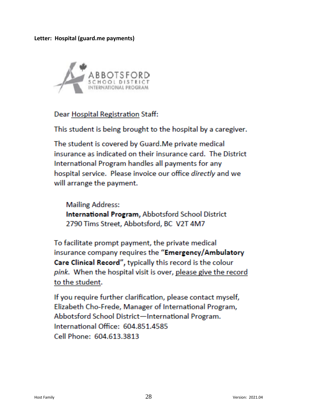<span id="page-32-0"></span>**Letter: Hospital (guard.me payments)**



Dear Hospital Registration Staff:

This student is being brought to the hospital by a caregiver.

The student is covered by Guard. Me private medical insurance as indicated on their insurance card. The District International Program handles all payments for any hospital service. Please invoice our office directly and we will arrange the payment.

**Mailing Address:** International Program, Abbotsford School District 2790 Tims Street, Abbotsford, BC V2T 4M7

To facilitate prompt payment, the private medical insurance company requires the "Emergency/Ambulatory Care Clinical Record", typically this record is the colour pink. When the hospital visit is over, please give the record to the student.

If you require further clarification, please contact myself, Elizabeth Cho-Frede, Manager of International Program, Abbotsford School District-International Program. International Office: 604.851.4585 Cell Phone: 604.613.3813